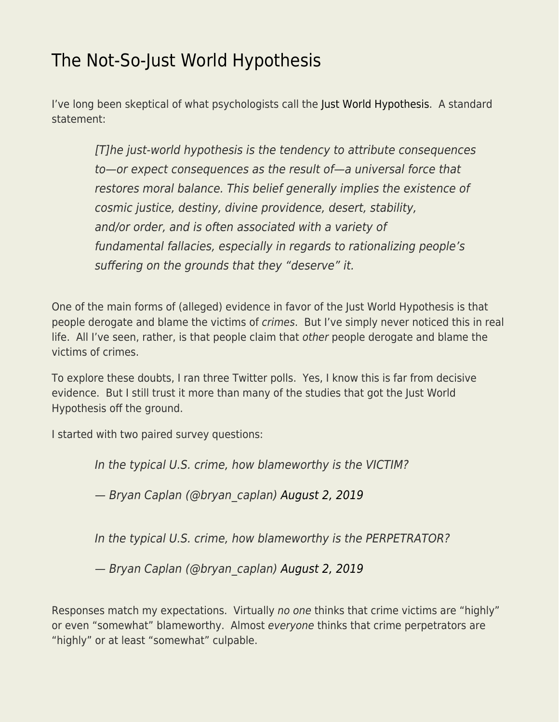## [The Not-So-Just World Hypothesis](https://everything-voluntary.com/the-not-so-just-world-hypothesis)

I've long been skeptical of what psychologists call the [Just World Hypothesis](https://en.wikipedia.org/wiki/Just-world_hypothesis). A standard statement:

[T]he just-world hypothesis is the tendency to attribute consequences to—or expect consequences as the result of—a universal force that restores moral balance. This belief generally implies the existence of cosmic justice, destiny, divine providence, desert, stability, and/or order, and is often associated with a variety of fundamental fallacies, especially in regards to rationalizing people's suffering on the grounds that they "deserve" it.

One of the main forms of (alleged) evidence in favor of the Just World Hypothesis is that people derogate and blame the victims of crimes. But I've simply never noticed this in real life. All I've seen, rather, is that people claim that other people derogate and blame the victims of crimes.

To explore these doubts, I ran three Twitter polls. Yes, I know this is far from decisive evidence. But I still trust it more than many of the studies that got the Just World Hypothesis off the ground.

I started with two paired survey questions:

In the typical U.S. crime, how blameworthy is the VICTIM?

— Bryan Caplan (@bryan\_caplan) [August 2, 2019](https://twitter.com/bryan_caplan/status/1157320225051815938?ref_src=twsrc%5Etfw)

In the typical U.S. crime, how blameworthy is the PERPETRATOR?

— Bryan Caplan (@bryan\_caplan) [August 2, 2019](https://twitter.com/bryan_caplan/status/1157320110945775616?ref_src=twsrc%5Etfw)

Responses match my expectations. Virtually no one thinks that crime victims are "highly" or even "somewhat" blameworthy. Almost everyone thinks that crime perpetrators are "highly" or at least "somewhat" culpable.